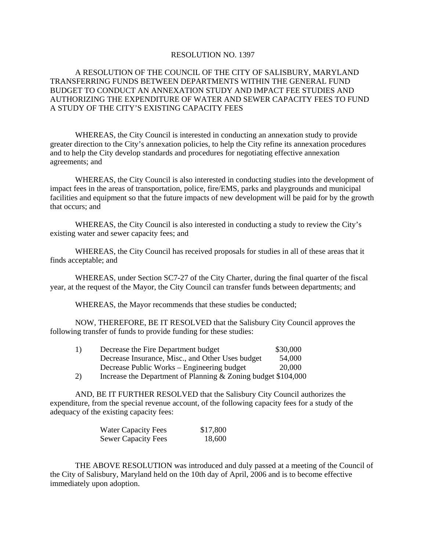## RESOLUTION NO. 1397

## A RESOLUTION OF THE COUNCIL OF THE CITY OF SALISBURY, MARYLAND TRANSFERRING FUNDS BETWEEN DEPARTMENTS WITHIN THE GENERAL FUND BUDGET TO CONDUCT AN ANNEXATION STUDY AND IMPACT FEE STUDIES AND AUTHORIZING THE EXPENDITURE OF WATER AND SEWER CAPACITY FEES TO FUND A STUDY OF THE CITY'S EXISTING CAPACITY FEES

WHEREAS, the City Council is interested in conducting an annexation study to provide greater direction to the City's annexation policies, to help the City refine its annexation procedures and to help the City develop standards and procedures for negotiating effective annexation agreements; and

WHEREAS, the City Council is also interested in conducting studies into the development of impact fees in the areas of transportation, police, fire/EMS, parks and playgrounds and municipal facilities and equipment so that the future impacts of new development will be paid for by the growth that occurs; and

WHEREAS, the City Council is also interested in conducting a study to review the City's existing water and sewer capacity fees; and

WHEREAS, the City Council has received proposals for studies in all of these areas that it finds acceptable; and

WHEREAS, under Section SC7-27 of the City Charter, during the final quarter of the fiscal year, at the request of the Mayor, the City Council can transfer funds between departments; and

WHEREAS, the Mayor recommends that these studies be conducted;

NOW, THEREFORE, BE IT RESOLVED that the Salisbury City Council approves the following transfer of funds to provide funding for these studies:

| 1) | Decrease the Fire Department budget                           | \$30,000 |
|----|---------------------------------------------------------------|----------|
|    | Decrease Insurance, Misc., and Other Uses budget              | 54,000   |
|    | Decrease Public Works – Engineering budget                    | 20,000   |
| 2) | Increase the Department of Planning & Zoning budget \$104,000 |          |

AND, BE IT FURTHER RESOLVED that the Salisbury City Council authorizes the expenditure, from the special revenue account, of the following capacity fees for a study of the adequacy of the existing capacity fees:

| <b>Water Capacity Fees</b> | \$17,800 |
|----------------------------|----------|
| <b>Sewer Capacity Fees</b> | 18,600   |

THE ABOVE RESOLUTION was introduced and duly passed at a meeting of the Council of the City of Salisbury, Maryland held on the 10th day of April, 2006 and is to become effective immediately upon adoption.